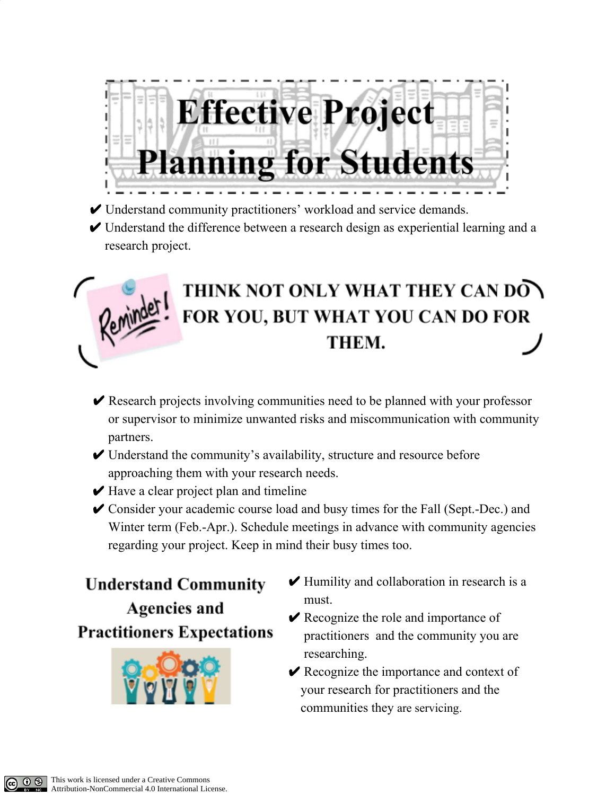

- ✔ Understand community practitioners' workload and service demands.
- $\vee$  Understand the difference between a research design as experiential learning and a research project.



- $\triangleright$  Research projects involving communities need to be planned with your professor or supervisor to minimize unwanted risks and miscommunication with community partners.
- $\vee$  Understand the community's availability, structure and resource before approaching them with your research needs.
- $\vee$  Have a clear project plan and timeline
- ✔ Consider your academic course load and busy times for the Fall (Sept.-Dec.) and Winter term (Feb.-Apr.). Schedule meetings in advance with community agencies regarding your project. Keep in mind their busy times too.

**Understand Community Agencies and Practitioners Expectations** 



- $\blacktriangleright$  Humility and collaboration in research is a must.
- $\vee$  Recognize the role and importance of practitioners and the community you are researching.
- **►** Recognize the importance and context of your research for practitioners and the communities they are servicing.